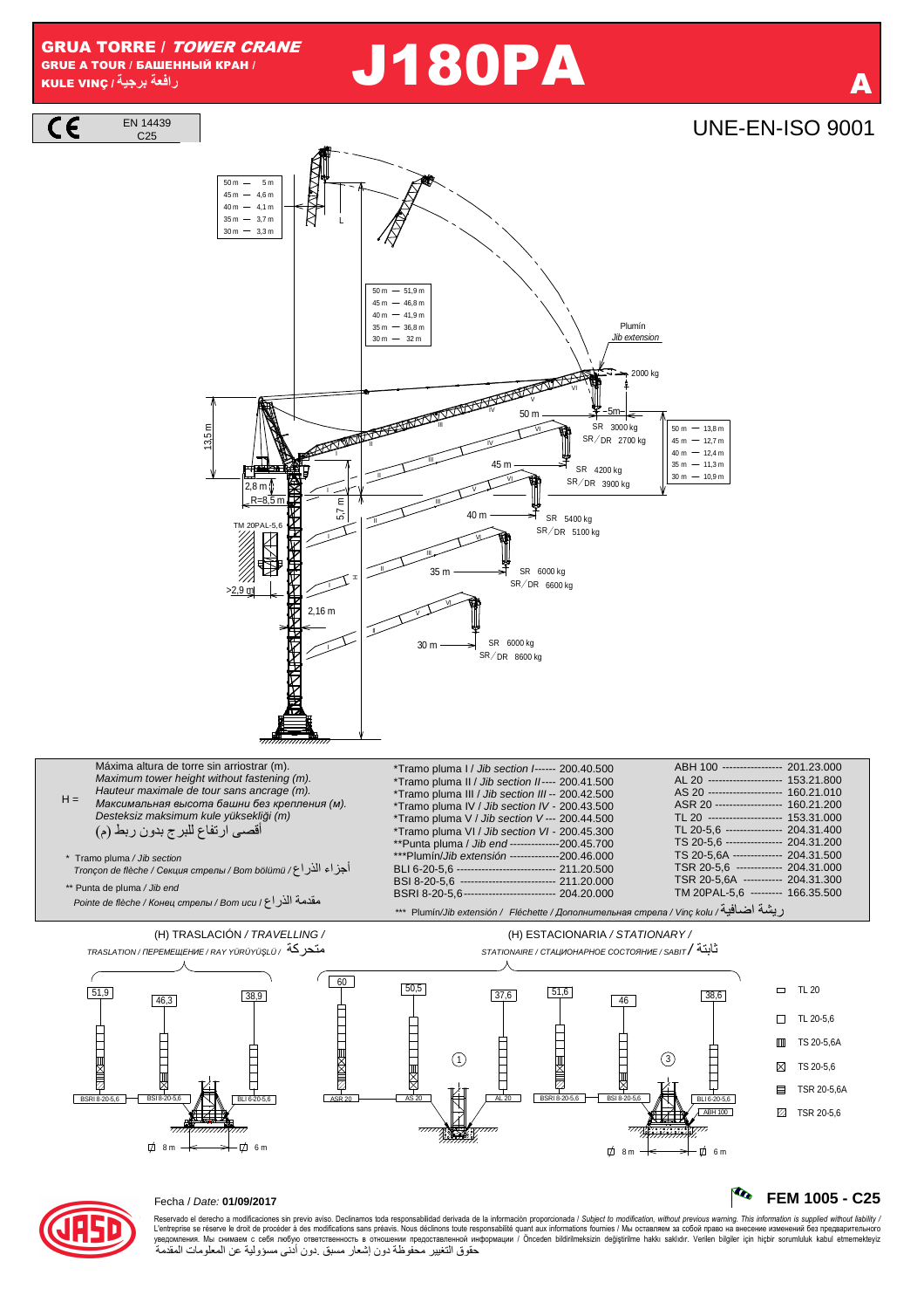**GRUA TORRE / TOWER CRANE** GRUE A TOUR / БАШЕННЫЙ КРАН / رافعة برجية/ KULE VINC

EN 14439

# **J180PA**

## **UNE-EN-ISO 9001**

FEM 1005 - C25





#### Fecha / Date: 01/09/2017

Reservado el derecho a modificaciones sin previo aviso. Declinamos toda responsabilidad derivada de la información proporcionada / Subject to modification, without previous warning. This information is supplied without lia L'entreprise se réserve le droit de procéder à des modifications sans préavis. Nous déclinons toute responsabilité quant aux informations fournies / Misi ocтавляем за собой право на внесение изменений без предварительного حقوق التغيير محفوظة دون إشعار مسبق دون أدنى مسؤولية عن المعلومات المقدمة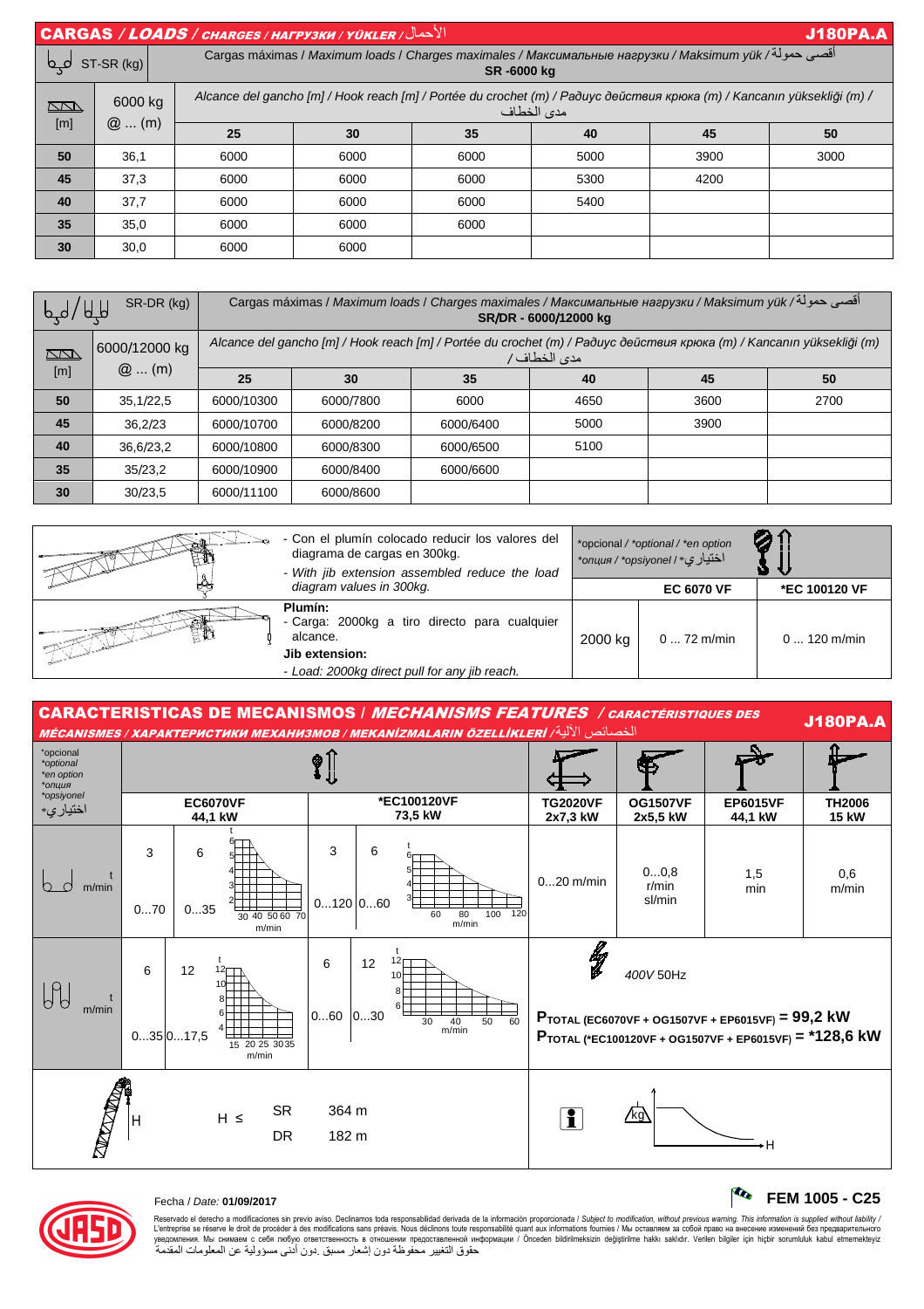| الأحمال/ CARGAS / LOADS / CHARGES / HAFPY3KW / YÜKLER<br><b>J180PA.A</b> |              |                                                                                                                                       |      |      |      |      |      |  |  |
|--------------------------------------------------------------------------|--------------|---------------------------------------------------------------------------------------------------------------------------------------|------|------|------|------|------|--|--|
|                                                                          | $ST-SR$ (kg) | أقصى حمولة/ Cargas máximas / Maximum loads / Charges maximales / Максимальные нагрузки / Maksimum yük<br>SR-6000 kg                   |      |      |      |      |      |  |  |
| $\sum$                                                                   | 6000 kg      | Alcance del gancho [m] / Hook reach [m] / Portée du crochet (m) / Paðuyc действия крюка (m) / Kancanın yüksekliği (m) /<br>مدى الخطاف |      |      |      |      |      |  |  |
| [m]                                                                      | $@$ (m)      | 25                                                                                                                                    | 30   | 35   | 40   | 45   | 50   |  |  |
| 50                                                                       | 36.1         | 6000                                                                                                                                  | 6000 | 6000 | 5000 | 3900 | 3000 |  |  |
| 45                                                                       | 37,3         | 6000                                                                                                                                  | 6000 | 6000 | 5300 | 4200 |      |  |  |
| 40                                                                       | 37,7         | 6000                                                                                                                                  | 6000 | 6000 | 5400 |      |      |  |  |
| 35                                                                       | 35,0         | 6000                                                                                                                                  | 6000 | 6000 |      |      |      |  |  |
| 30                                                                       | 30,0         | 6000                                                                                                                                  | 6000 |      |      |      |      |  |  |

| H/d/dH        | SR-DR (kg)               | اقصي حمولة/ Cargas máximas / <i>Maximum loads / Charges maximales / Максимальные нагрузки / Maksimum yük</i><br>SR/DR - 6000/12000 kg |           |           |      |      |      |  |  |
|---------------|--------------------------|---------------------------------------------------------------------------------------------------------------------------------------|-----------|-----------|------|------|------|--|--|
| $\sum$<br>[m] | 6000/12000 kg<br>$@$ (m) | Alcance del gancho [m] / Hook reach [m] / Portée du crochet (m) / Paðuyc действия крюка (m) / Kancanın yüksekliği (m)<br>مدى الخطاف/  |           |           |      |      |      |  |  |
|               |                          | 25                                                                                                                                    | 30        | 35        | 40   | 45   | 50   |  |  |
| 50            | 35,1/22,5                | 6000/10300                                                                                                                            | 6000/7800 | 6000      | 4650 | 3600 | 2700 |  |  |
| 45            | 36,2/23                  | 6000/10700                                                                                                                            | 6000/8200 | 6000/6400 | 5000 | 3900 |      |  |  |
| 40            | 36,6/23,2                | 6000/10800                                                                                                                            | 6000/8300 | 6000/6500 | 5100 |      |      |  |  |
| 35            | 35/23,2                  | 6000/10900                                                                                                                            | 6000/8400 | 6000/6600 |      |      |      |  |  |
| 30            | 30/23.5                  | 6000/11100                                                                                                                            | 6000/8600 |           |      |      |      |  |  |



| <b>CARACTERISTICAS DE MECANISMOS / MECHANISMS FEATURES / CARACTÉRISTIQUES DES</b><br>الخصائص الآلية/ MÉCANISMES / ХАРАКТЕРИСТИКИ МЕХАНИЗМОВ / МЕКАNIZMALARIN ÖZELLİKLERİ |                            |               |                         |                        |                                                |                                              |                             |                             |                                                                                                             | <b>J180PA.A</b>               |
|--------------------------------------------------------------------------------------------------------------------------------------------------------------------------|----------------------------|---------------|-------------------------|------------------------|------------------------------------------------|----------------------------------------------|-----------------------------|-----------------------------|-------------------------------------------------------------------------------------------------------------|-------------------------------|
| *opcional<br>*optional<br>*en option<br>*опция                                                                                                                           | ⊗                          |               |                         |                        |                                                |                                              |                             |                             |                                                                                                             |                               |
| *opsiyonel<br>اختيار ي*                                                                                                                                                  | <b>EC6070VF</b><br>44,1 kW |               |                         | *EC100120VF<br>73,5 kW |                                                |                                              | <b>TG2020VF</b><br>2x7,3 kW | <b>OG1507VF</b><br>2x5,5 kW | <b>EP6015VF</b><br>44,1 kW                                                                                  | <b>TH2006</b><br><b>15 kW</b> |
| $\bigcirc$<br>m/min                                                                                                                                                      | 3                          | 6             |                         | 3                      | 6                                              |                                              | $020$ m/min                 | 00,8<br>r/min               | 1,5<br>min                                                                                                  | 0,6<br>m/min                  |
|                                                                                                                                                                          | 070                        | 035           | 30 40 50 60 70<br>m/min | $0120$ $060$           |                                                | 80<br>100 120<br>60<br>m/min                 |                             | sl/min                      |                                                                                                             |                               |
| $\beta_0$                                                                                                                                                                | 6                          | 12            |                         | 6                      | 12 <sub>1</sub><br>12<br>10 <sup>F</sup><br>8⊢ |                                              | lly                         | 400V 50Hz                   |                                                                                                             |                               |
| m/min                                                                                                                                                                    |                            | $035$ $017,5$ | 15 20 25 30 35<br>m/min | 060                    | 6ŀ<br>030                                      | $\overline{60}$<br>50<br>30<br>$40$<br>m/min |                             |                             | PTOTAL (EC6070VF + OG1507VF + EP6015VF) = 99,2 kW<br>PTOTAL (*EC100120VF + OG1507VF + EP6015VF) = *128,6 kW |                               |
| <b>CONTROLLER</b><br><b>SR</b><br>$H \leq$<br>H<br><b>DR</b>                                                                                                             |                            |               | 364 m<br>182 m          |                        |                                                | i                                            | /kg\                        | ۰H                          |                                                                                                             |                               |



Fecha / Date: **01/09/2017 FEM 1005 - C25**

Reservado el derecho a modificaciones sin previo aviso. Declinamos toda responsabilidad derivada de la información proporcionada / Subjec*t to modification, without previous warning. This information is supplied without l* حقوق التغيير محفوظة دون إشعار مسبق دون أدنى مسؤولية عن المعلومات المقدمة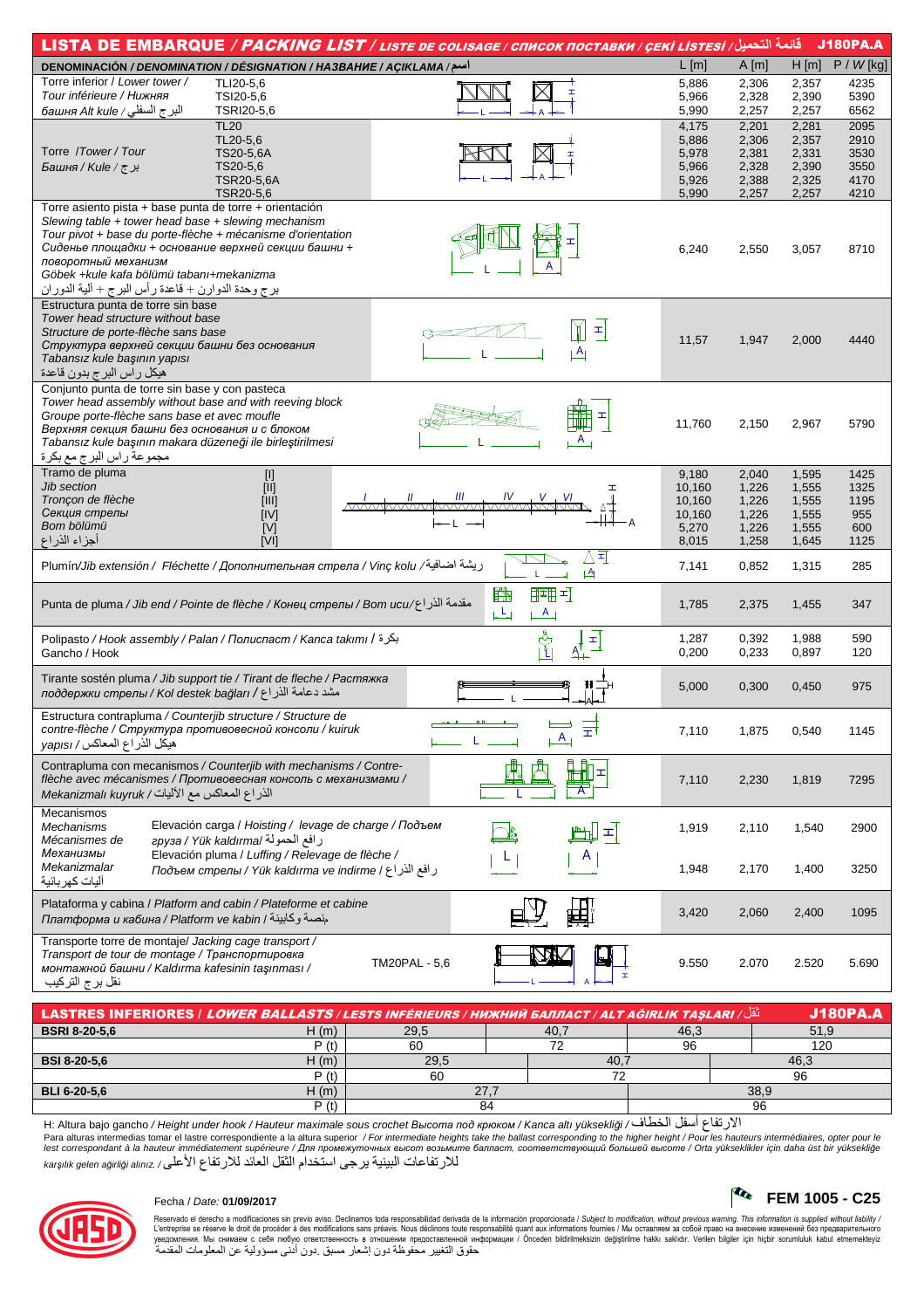|                                                                                         |                                                         | قائمه التحميل/ LISTA DE EMBARQUE <i>/ PACKING LIST / LISTE DE COLISAGE / CПИСОК ПОСТАВКИ / ÇEKİ LISTESI</i> |        |       |       | <b>J180PA.A</b> |
|-----------------------------------------------------------------------------------------|---------------------------------------------------------|-------------------------------------------------------------------------------------------------------------|--------|-------|-------|-----------------|
| <b>DENOMINACIÓN / DENOMINATION / DÉSIGNATION / HA3BAHHE / ACIKLAMA / اسح</b>            |                                                         |                                                                                                             | L[m]   | A[m]  | H[m]  | $P / W$ [kg]    |
| Torre inferior / Lower tower /                                                          | TLI20-5.6                                               |                                                                                                             | 5,886  | 2,306 | 2,357 | 4235            |
| Tour inférieure / Нижняя                                                                | TSI20-5,6                                               |                                                                                                             | 5,966  | 2,328 | 2,390 | 5390            |
| البرج السفلي / башня Alt kule                                                           | TSRI20-5,6                                              |                                                                                                             | 5,990  | 2,257 | 2,257 | 6562            |
|                                                                                         | <b>TL20</b>                                             |                                                                                                             | 4,175  | 2,201 | 2,281 | 2095            |
|                                                                                         | TL20-5,6                                                |                                                                                                             | 5,886  | 2,306 | 2,357 | 2910            |
| Torre / Tower / Tour                                                                    | TS20-5,6A                                               |                                                                                                             | 5,978  | 2,381 | 2,331 | 3530            |
| Faшня / Kule / جرج                                                                      | TS20-5,6                                                |                                                                                                             | 5,966  | 2,328 | 2,390 | 3550            |
|                                                                                         | TSR20-5,6A                                              |                                                                                                             | 5,926  | 2,388 | 2,325 | 4170            |
|                                                                                         | TSR20-5,6                                               |                                                                                                             | 5,990  | 2,257 | 2,257 | 4210            |
| Torre asiento pista + base punta de torre + orientación                                 |                                                         |                                                                                                             |        |       |       |                 |
| Slewing table + tower head base + slewing mechanism                                     |                                                         |                                                                                                             |        |       |       |                 |
| Tour pivot + base du porte-flèche + mécanisme d'orientation                             |                                                         |                                                                                                             |        |       |       |                 |
| Сиденье площадки + основание верхней секции башни +                                     |                                                         |                                                                                                             | 6,240  | 2,550 | 3,057 | 8710            |
| поворотный механизм                                                                     |                                                         |                                                                                                             |        |       |       |                 |
| Göbek +kule kafa bölümü tabanı+mekanizma                                                |                                                         |                                                                                                             |        |       |       |                 |
| برج وحدة الدوارن + قاعدة رأس البرج + ألية الدوران                                       |                                                         |                                                                                                             |        |       |       |                 |
| Estructura punta de torre sin base<br>Tower head structure without base                 |                                                         |                                                                                                             |        |       |       |                 |
| Structure de porte-flèche sans base                                                     |                                                         | 피                                                                                                           |        |       |       |                 |
| Структура верхней секции башни без основания                                            |                                                         |                                                                                                             | 11,57  | 1,947 | 2,000 | 4440            |
| Tabansız kule başının yapısı                                                            |                                                         | <u>LA </u>                                                                                                  |        |       |       |                 |
| هيكل راس البرج بدون قاعدة                                                               |                                                         |                                                                                                             |        |       |       |                 |
| Conjunto punta de torre sin base y con pasteca                                          |                                                         |                                                                                                             |        |       |       |                 |
| Tower head assembly without base and with reeving block                                 |                                                         |                                                                                                             |        |       |       |                 |
| Groupe porte-flèche sans base et avec moufle                                            |                                                         | H                                                                                                           |        |       |       |                 |
| Верхняя секция башни без основания и с блоком                                           |                                                         |                                                                                                             | 11,760 | 2,150 | 2,967 | 5790            |
| Tabansız kule başının makara düzeneği ile birleştirilmesi                               |                                                         | A                                                                                                           |        |       |       |                 |
| مجموعة راس البرج مع بكرة                                                                |                                                         |                                                                                                             |        |       |       |                 |
| Tramo de pluma                                                                          | $[1]$                                                   |                                                                                                             | 9,180  | 2,040 | 1,595 | 1425            |
| <b>Jib section</b>                                                                      | [  ]                                                    |                                                                                                             | 10,160 | 1,226 | 1,555 | 1325            |
| Tronçon de flèche                                                                       | ןווון                                                   |                                                                                                             | 10,160 | 1,226 | 1,555 | 1195            |
| Секция стрелы                                                                           | [IV]                                                    |                                                                                                             | 10,160 | 1,226 | 1,555 | 955             |
| Bom bölümü                                                                              | [V]                                                     |                                                                                                             | 5,270  | 1,226 | 1,555 | 600             |
| أجزاء الذراع                                                                            | [V]                                                     |                                                                                                             | 8,015  | 1,258 | 1,645 | 1125            |
|                                                                                         |                                                         | Δ∃                                                                                                          |        |       |       |                 |
| ريشة اضافية/ Plumín/Jib extensión / Fléchette / Дополнительная стрела / Vinç kolu       |                                                         | $\downarrow$ A<br>L                                                                                         | 7,141  | 0,852 | 1,315 | 285             |
|                                                                                         |                                                         | 路<br>腿甲                                                                                                     |        |       |       |                 |
| مقدمة الذر اع/Punta de pluma / Jib end / Pointe de flèche / Конец стрелы / Bom ucu      |                                                         |                                                                                                             | 1,785  | 2,375 | 1,455 | 347             |
|                                                                                         |                                                         | يكيا<br>$A_{\perp}$                                                                                         |        |       |       |                 |
| Polipasto / Hook assembly / Palan / Полиспаст / Kanca takımı / بكرة                     |                                                         |                                                                                                             | 1,287  | 0,392 | 1,988 | 590             |
| Gancho / Hook                                                                           |                                                         | ्री<br> }<br>$\frac{1}{\Delta + 1}$                                                                         | 0,200  | 0,233 | 0,897 | 120             |
|                                                                                         |                                                         |                                                                                                             |        |       |       |                 |
| Tirante sostén pluma / Jib support tie / Tirant de fleche / Растяжка                    |                                                         | $\mathsf{H} \sqsupseteq_{\mathsf{H}}$                                                                       |        |       |       |                 |
| поддержки стрелы / Kol destek bağları / اراغ/ поддержки стрелы                          |                                                         |                                                                                                             | 5,000  | 0,300 | 0,450 | 975             |
|                                                                                         |                                                         |                                                                                                             |        |       |       |                 |
| Estructura contrapluma / Counterjib structure / Structure de                            |                                                         | 듷                                                                                                           |        |       |       |                 |
| contre-flèche / Структура противовесной консоли / kuiruk<br>هيكل الذراع المعاكس/ yapısı |                                                         | $A_{\perp}$                                                                                                 | 7,110  | 1,875 | 0,540 | 1145            |
|                                                                                         |                                                         |                                                                                                             |        |       |       |                 |
| Contrapluma con mecanismos / Counterjib with mechanisms / Contre-                       |                                                         |                                                                                                             |        |       |       |                 |
| flèche avec mécanismes / Противовесная консоль с механизмами /                          |                                                         |                                                                                                             | 7,110  | 2,230 | 1,819 | 7295            |
| الذراع المعاكس مع الأليات/ Mekanizmalı kuyruk                                           |                                                         |                                                                                                             |        |       |       |                 |
| Mecanismos                                                                              |                                                         |                                                                                                             |        |       |       |                 |
| Mechanisms                                                                              | Elevación carga / Hoisting / levage de charge / Подъем  |                                                                                                             | 1,919  | 2,110 | 1,540 | 2900            |
| Mécanismes de                                                                           | رافع الحمولة /epyзa / Yük kaldırma                      | 피                                                                                                           |        |       |       |                 |
| Механизмы                                                                               | Elevación pluma / Luffing / Relevage de flèche /        | A                                                                                                           |        |       |       |                 |
| Mekanizmalar                                                                            | ر افع الذر اع / Подъем стрелы / Yük kaldırma ve indirme |                                                                                                             | 1,948  | 2,170 | 1,400 | 3250            |
| أليات كهر بائية                                                                         |                                                         |                                                                                                             |        |       |       |                 |
| Plataforma y cabina / Platform and cabin / Plateforme et cabine                         |                                                         |                                                                                                             |        |       |       |                 |
| Глатформа и кабина / Platform ve kabin / جنصة وكابينة                                   |                                                         |                                                                                                             | 3,420  | 2,060 | 2,400 | 1095            |
|                                                                                         |                                                         |                                                                                                             |        |       |       |                 |
| Transporte torre de montaje/ Jacking cage transport /                                   |                                                         |                                                                                                             |        |       |       |                 |
| Transport de tour de montage / Транспортировка                                          |                                                         | <b>TM20PAL - 5,6</b>                                                                                        | 9.550  | 2.070 | 2.520 | 5.690           |
| монтажной башни / Kaldırma kafesinin taşınması /                                        |                                                         |                                                                                                             |        |       |       |                 |
| نقل برج التركيب                                                                         |                                                         |                                                                                                             |        |       |       |                 |
|                                                                                         |                                                         |                                                                                                             |        |       |       |                 |

| <sup>"</sup> تَقْل/ LASTRES INFERIORES / L <i>OWER BALLASTS / LESTS INFÉRIEURS / НИЖНИЙ БАЛЛАСТ / ALT AĞIRLIK TAŞLARI</i><br><b>J180PA.A</b> |       |      |       |      |      |  |  |  |
|----------------------------------------------------------------------------------------------------------------------------------------------|-------|------|-------|------|------|--|--|--|
| <b>BSRI 8-20-5.6</b>                                                                                                                         | Ч (m. | 29,5 | - 40. | 46,3 | 51,9 |  |  |  |
|                                                                                                                                              |       | 60   |       | 96   | 120  |  |  |  |
| <b>BSI 8-20-5.6</b>                                                                                                                          | H (m` | 29,5 | 40.   |      | 46.ء |  |  |  |
|                                                                                                                                              | P(t)  | 60   |       |      | 96   |  |  |  |
| <b>BLI 6-20-5.6</b>                                                                                                                          | H (m` | 27   |       | 38,9 |      |  |  |  |
|                                                                                                                                              | P(f)  | 84   | 96    |      |      |  |  |  |

الارتفاع أسفل الخطاف/ H: Altura bajo gancho / Height under hook / Hauteur maximale sous crochet Высота под крюком / Kanca altı yüksekliği race was a sensor produced at the correspondente a la altura superior / For intermediate heights take the ballast corresponding to the higher height / Pour les hauteurs intermédiaties, opter pour le<br>lest correspondant à l للارتفاعات البينية يرجى استخدام الثقل العائد للارتفاع الأعلى/ karşılık gelen ağırliği alınız



### Fecha / Date: 01/09/2017

Reservado el derecho a modificaciones sin previo aviso. Declinamos toda responsabilidad derivada de la información proporcionada / Subject to modification, without previous warning. This information is supplied without l

 $\begin{bmatrix} \mathbf{C_0} & FEM 1005 - C25 \end{bmatrix}$